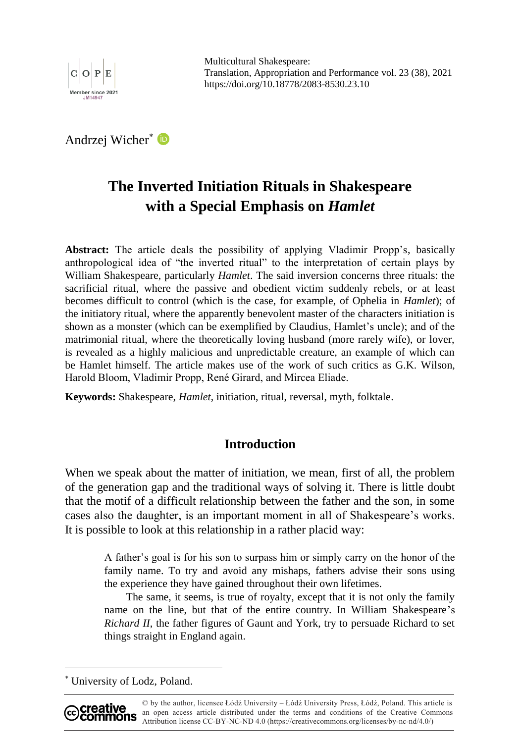

Multicultural Shakespeare: Translation, Appropriation and Performance vol. 23 (38), 2021 https://doi.org/10.18778/2083-8530.23.10

Andrzej Wicher

# **The Inverted Initiation Rituals in Shakespeare with a Special Emphasis on** *Hamlet*

**Abstract:** The article deals the possibility of applying Vladimir Propp's, basically anthropological idea of "the inverted ritual" to the interpretation of certain plays by William Shakespeare, particularly *Hamlet*. The said inversion concerns three rituals: the sacrificial ritual, where the passive and obedient victim suddenly rebels, or at least becomes difficult to control (which is the case, for example, of Ophelia in *Hamlet*); of the initiatory ritual, where the apparently benevolent master of the characters initiation is shown as a monster (which can be exemplified by Claudius, Hamlet's uncle); and of the matrimonial ritual, where the theoretically loving husband (more rarely wife), or lover, is revealed as a highly malicious and unpredictable creature, an example of which can be Hamlet himself. The article makes use of the work of such critics as G.K. Wilson, Harold Bloom, Vladimir Propp, René Girard, and Mircea Eliade.

**Keywords:** Shakespeare, *Hamlet*, initiation, ritual, reversal, myth, folktale.

# **Introduction**

When we speak about the matter of initiation, we mean, first of all, the problem of the generation gap and the traditional ways of solving it. There is little doubt that the motif of a difficult relationship between the father and the son, in some cases also the daughter, is an important moment in all of Shakespeare's works. It is possible to look at this relationship in a rather placid way:

A father's goal is for his son to surpass him or simply carry on the honor of the family name. To try and avoid any mishaps, fathers advise their sons using the experience they have gained throughout their own lifetimes.

The same, it seems, is true of royalty, except that it is not only the family name on the line, but that of the entire country. In William Shakespeare's *Richard II*, the father figures of Gaunt and York, try to persuade Richard to set things straight in England again.

 University of Lodz, Poland.



<sup>©</sup> by the author, licensee Łódź University – Łódź University Press, Łódź, Poland. This article is an open access article distributed under the terms and conditions of the Creative Commons Attribution license CC-BY-NC-ND 4.0 (https://creativecommons.org/licenses/by-nc-nd/4.0/)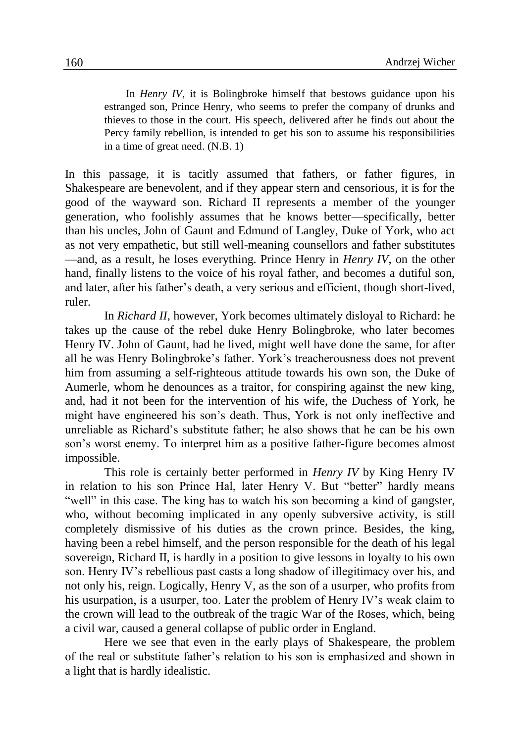In *Henry IV*, it is Bolingbroke himself that bestows guidance upon his estranged son, Prince Henry, who seems to prefer the company of drunks and thieves to those in the court. His speech, delivered after he finds out about the Percy family rebellion, is intended to get his son to assume his responsibilities in a time of great need. (N.B. 1)

In this passage, it is tacitly assumed that fathers, or father figures, in Shakespeare are benevolent, and if they appear stern and censorious, it is for the good of the wayward son. Richard II represents a member of the younger generation, who foolishly assumes that he knows better—specifically, better than his uncles, John of Gaunt and Edmund of Langley, Duke of York, who act as not very empathetic, but still well-meaning counsellors and father substitutes —and, as a result, he loses everything. Prince Henry in *Henry IV*, on the other hand, finally listens to the voice of his royal father, and becomes a dutiful son, and later, after his father's death, a very serious and efficient, though short-lived, ruler.

In *Richard II*, however, York becomes ultimately disloyal to Richard: he takes up the cause of the rebel duke Henry Bolingbroke, who later becomes Henry IV. John of Gaunt, had he lived, might well have done the same, for after all he was Henry Bolingbroke's father. York's treacherousness does not prevent him from assuming a self-righteous attitude towards his own son, the Duke of Aumerle, whom he denounces as a traitor, for conspiring against the new king, and, had it not been for the intervention of his wife, the Duchess of York, he might have engineered his son's death. Thus, York is not only ineffective and unreliable as Richard's substitute father; he also shows that he can be his own son's worst enemy. To interpret him as a positive father-figure becomes almost impossible.

This role is certainly better performed in *Henry IV* by King Henry IV in relation to his son Prince Hal, later Henry V. But "better" hardly means "well" in this case. The king has to watch his son becoming a kind of gangster, who, without becoming implicated in any openly subversive activity, is still completely dismissive of his duties as the crown prince. Besides, the king, having been a rebel himself, and the person responsible for the death of his legal sovereign, Richard II, is hardly in a position to give lessons in loyalty to his own son. Henry IV's rebellious past casts a long shadow of illegitimacy over his, and not only his, reign. Logically, Henry V, as the son of a usurper, who profits from his usurpation, is a usurper, too. Later the problem of Henry IV's weak claim to the crown will lead to the outbreak of the tragic War of the Roses, which, being a civil war, caused a general collapse of public order in England.

Here we see that even in the early plays of Shakespeare, the problem of the real or substitute father's relation to his son is emphasized and shown in a light that is hardly idealistic.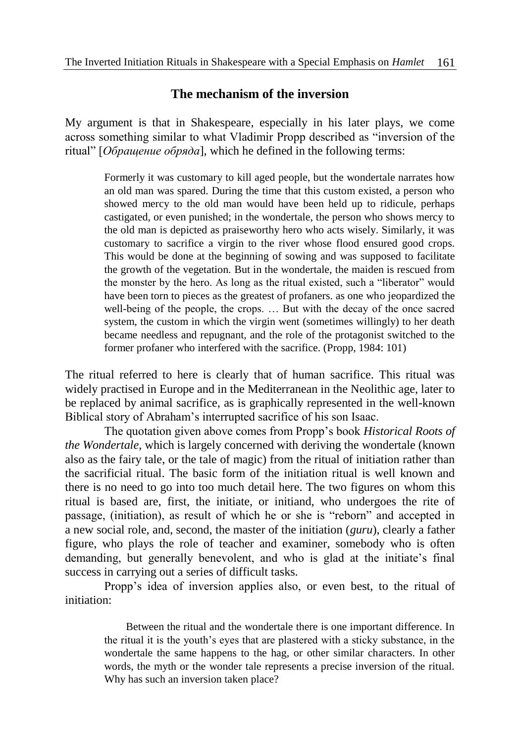# **The mechanism of the inversion**

My argument is that in Shakespeare, especially in his later plays, we come across something similar to what Vladimir Propp described as "inversion of the ritual" [*Обращение обряда*], which he defined in the following terms:

> Formerly it was customary to kill aged people, but the wondertale narrates how an old man was spared. During the time that this custom existed, a person who showed mercy to the old man would have been held up to ridicule, perhaps castigated, or even punished; in the wondertale, the person who shows mercy to the old man is depicted as praiseworthy hero who acts wisely. Similarly, it was customary to sacrifice a virgin to the river whose flood ensured good crops. This would be done at the beginning of sowing and was supposed to facilitate the growth of the vegetation. But in the wondertale, the maiden is rescued from the monster by the hero. As long as the ritual existed, such a "liberator" would have been torn to pieces as the greatest of profaners. as one who jeopardized the well-being of the people, the crops. … But with the decay of the once sacred system, the custom in which the virgin went (sometimes willingly) to her death became needless and repugnant, and the role of the protagonist switched to the former profaner who interfered with the sacrifice. (Propp, 1984: 101)

The ritual referred to here is clearly that of human sacrifice. This ritual was widely practised in Europe and in the Mediterranean in the Neolithic age, later to be replaced by animal sacrifice, as is graphically represented in the well-known Biblical story of Abraham's interrupted sacrifice of his son Isaac.

The quotation given above comes from Propp's book *Historical Roots of the Wondertale*, which is largely concerned with deriving the wondertale (known also as the fairy tale, or the tale of magic) from the ritual of initiation rather than the sacrificial ritual. The basic form of the initiation ritual is well known and there is no need to go into too much detail here. The two figures on whom this ritual is based are, first, the initiate, or initiand, who undergoes the rite of passage, (initiation), as result of which he or she is "reborn" and accepted in a new social role, and, second, the master of the initiation (*guru*), clearly a father figure, who plays the role of teacher and examiner, somebody who is often demanding, but generally benevolent, and who is glad at the initiate's final success in carrying out a series of difficult tasks.

Propp's idea of inversion applies also, or even best, to the ritual of initiation:

Between the ritual and the wondertale there is one important difference. In the ritual it is the youth's eyes that are plastered with a sticky substance, in the wondertale the same happens to the hag, or other similar characters. In other words, the myth or the wonder tale represents a precise inversion of the ritual. Why has such an inversion taken place?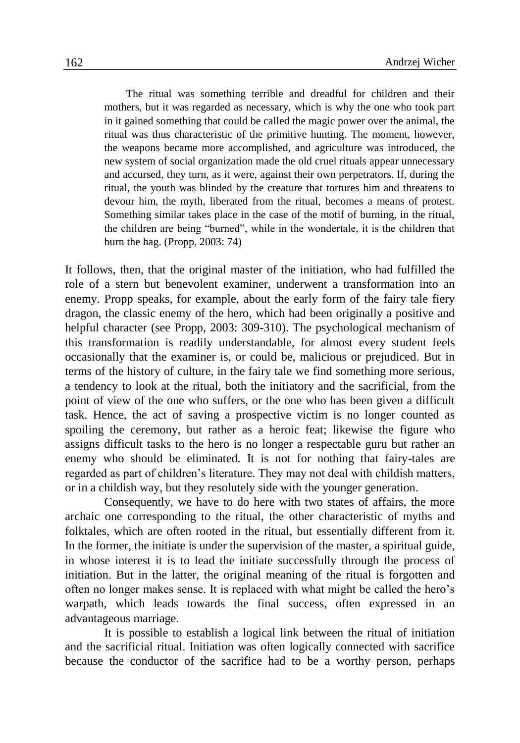The ritual was something terrible and dreadful for children and their mothers, but it was regarded as necessary, which is why the one who took part in it gained something that could be called the magic power over the animal, the ritual was thus characteristic of the primitive hunting. The moment, however, the weapons became more accomplished, and agriculture was introduced, the new system of social organization made the old cruel rituals appear unnecessary and accursed, they turn, as it were, against their own perpetrators. If, during the ritual, the youth was blinded by the creature that tortures him and threatens to devour him, the myth, liberated from the ritual, becomes a means of protest. Something similar takes place in the case of the motif of burning, in the ritual, the children are being "burned", while in the wondertale, it is the children that burn the hag. (Propp, 2003: 74)

It follows, then, that the original master of the initiation, who had fulfilled the role of a stern but benevolent examiner, underwent a transformation into an enemy. Propp speaks, for example, about the early form of the fairy tale fiery dragon, the classic enemy of the hero, which had been originally a positive and helpful character (see Propp, 2003: 309-310). The psychological mechanism of this transformation is readily understandable, for almost every student feels occasionally that the examiner is, or could be, malicious or prejudiced. But in terms of the history of culture, in the fairy tale we find something more serious, a tendency to look at the ritual, both the initiatory and the sacrificial, from the point of view of the one who suffers, or the one who has been given a difficult task. Hence, the act of saving a prospective victim is no longer counted as spoiling the ceremony, but rather as a heroic feat; likewise the figure who assigns difficult tasks to the hero is no longer a respectable guru but rather an enemy who should be eliminated. It is not for nothing that fairy-tales are regarded as part of children's literature. They may not deal with childish matters, or in a childish way, but they resolutely side with the younger generation.

Consequently, we have to do here with two states of affairs, the more archaic one corresponding to the ritual, the other characteristic of myths and folktales, which are often rooted in the ritual, but essentially different from it. In the former, the initiate is under the supervision of the master, a spiritual guide, in whose interest it is to lead the initiate successfully through the process of initiation. But in the latter, the original meaning of the ritual is forgotten and often no longer makes sense. It is replaced with what might be called the hero's warpath, which leads towards the final success, often expressed in an advantageous marriage.

It is possible to establish a logical link between the ritual of initiation and the sacrificial ritual. Initiation was often logically connected with sacrifice because the conductor of the sacrifice had to be a worthy person, perhaps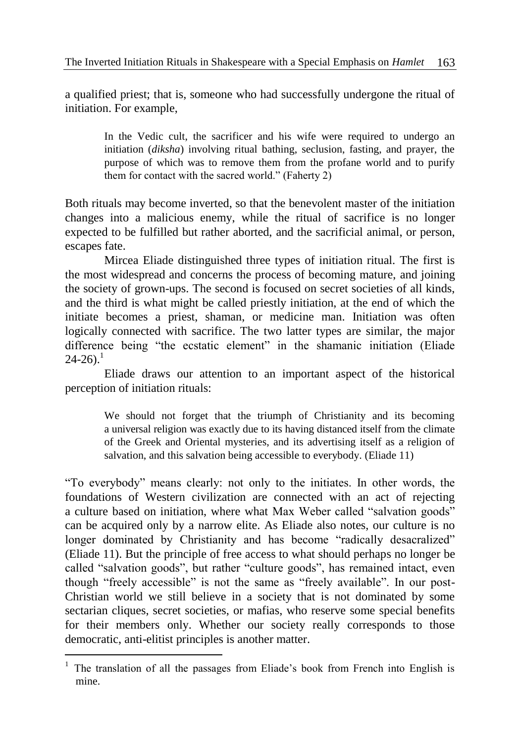a qualified priest; that is, someone who had successfully undergone the ritual of initiation. For example,

In the Vedic cult, the sacrificer and his wife were required to undergo an initiation (*diksha*) involving ritual bathing, seclusion, fasting, and prayer, the purpose of which was to remove them from the profane world and to purify them for contact with the sacred world." (Faherty 2)

Both rituals may become inverted, so that the benevolent master of the initiation changes into a malicious enemy, while the ritual of sacrifice is no longer expected to be fulfilled but rather aborted, and the sacrificial animal, or person, escapes fate.

Mircea Eliade distinguished three types of initiation ritual. The first is the most widespread and concerns the process of becoming mature, and joining the society of grown-ups. The second is focused on secret societies of all kinds, and the third is what might be called priestly initiation, at the end of which the initiate becomes a priest, shaman, or medicine man. Initiation was often logically connected with sacrifice. The two latter types are similar, the major difference being "the ecstatic element" in the shamanic initiation (Eliade  $24-26$ ).<sup>1</sup>

Eliade draws our attention to an important aspect of the historical perception of initiation rituals:

We should not forget that the triumph of Christianity and its becoming a universal religion was exactly due to its having distanced itself from the climate of the Greek and Oriental mysteries, and its advertising itself as a religion of salvation, and this salvation being accessible to everybody. (Eliade 11)

"To everybody" means clearly: not only to the initiates. In other words, the foundations of Western civilization are connected with an act of rejecting a culture based on initiation, where what Max Weber called "salvation goods" can be acquired only by a narrow elite. As Eliade also notes, our culture is no longer dominated by Christianity and has become "radically desacralized" (Eliade 11). But the principle of free access to what should perhaps no longer be called "salvation goods", but rather "culture goods", has remained intact, even though "freely accessible" is not the same as "freely available". In our post-Christian world we still believe in a society that is not dominated by some sectarian cliques, secret societies, or mafias, who reserve some special benefits for their members only. Whether our society really corresponds to those democratic, anti-elitist principles is another matter.

<sup>&</sup>lt;sup>1</sup> The translation of all the passages from Eliade's book from French into English is mine.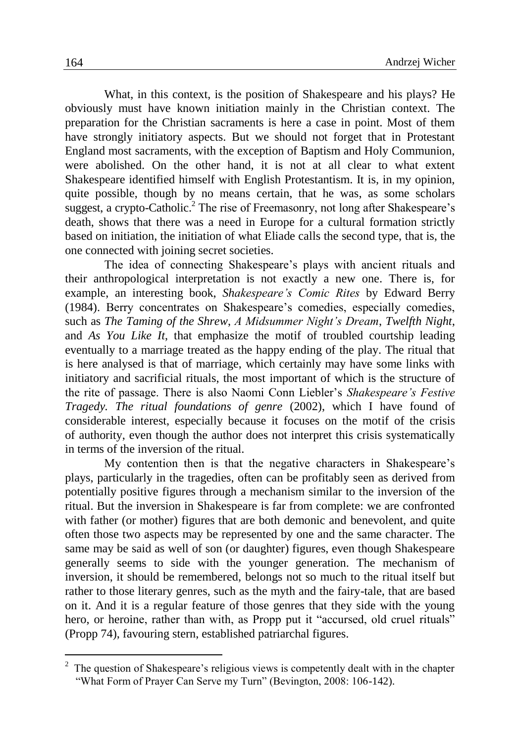What, in this context, is the position of Shakespeare and his plays? He obviously must have known initiation mainly in the Christian context. The preparation for the Christian sacraments is here a case in point. Most of them have strongly initiatory aspects. But we should not forget that in Protestant England most sacraments, with the exception of Baptism and Holy Communion, were abolished. On the other hand, it is not at all clear to what extent Shakespeare identified himself with English Protestantism. It is, in my opinion, quite possible, though by no means certain, that he was, as some scholars suggest, a crypto-Catholic.<sup>2</sup> The rise of Freemasonry, not long after Shakespeare's death, shows that there was a need in Europe for a cultural formation strictly based on initiation, the initiation of what Eliade calls the second type, that is, the one connected with joining secret societies.

The idea of connecting Shakespeare's plays with ancient rituals and their anthropological interpretation is not exactly a new one. There is, for example, an interesting book, *Shakespeare's Comic Rites* by Edward Berry (1984). Berry concentrates on Shakespeare's comedies, especially comedies, such as *The Taming of the Shrew*, *A Midsummer Night's Dream*, *Twelfth Night*, and *As You Like It*, that emphasize the motif of troubled courtship leading eventually to a marriage treated as the happy ending of the play. The ritual that is here analysed is that of marriage, which certainly may have some links with initiatory and sacrificial rituals, the most important of which is the structure of the rite of passage. There is also Naomi Conn Liebler's *Shakespeare's Festive Tragedy. The ritual foundations of genre* (2002), which I have found of considerable interest, especially because it focuses on the motif of the crisis of authority, even though the author does not interpret this crisis systematically in terms of the inversion of the ritual.

My contention then is that the negative characters in Shakespeare's plays, particularly in the tragedies, often can be profitably seen as derived from potentially positive figures through a mechanism similar to the inversion of the ritual. But the inversion in Shakespeare is far from complete: we are confronted with father (or mother) figures that are both demonic and benevolent, and quite often those two aspects may be represented by one and the same character. The same may be said as well of son (or daughter) figures, even though Shakespeare generally seems to side with the younger generation. The mechanism of inversion, it should be remembered, belongs not so much to the ritual itself but rather to those literary genres, such as the myth and the fairy-tale, that are based on it. And it is a regular feature of those genres that they side with the young hero, or heroine, rather than with, as Propp put it "accursed, old cruel rituals" (Propp 74), favouring stern, established patriarchal figures.

 $2\degree$  The question of Shakespeare's religious views is competently dealt with in the chapter "What Form of Prayer Can Serve my Turn" (Bevington, 2008: 106-142).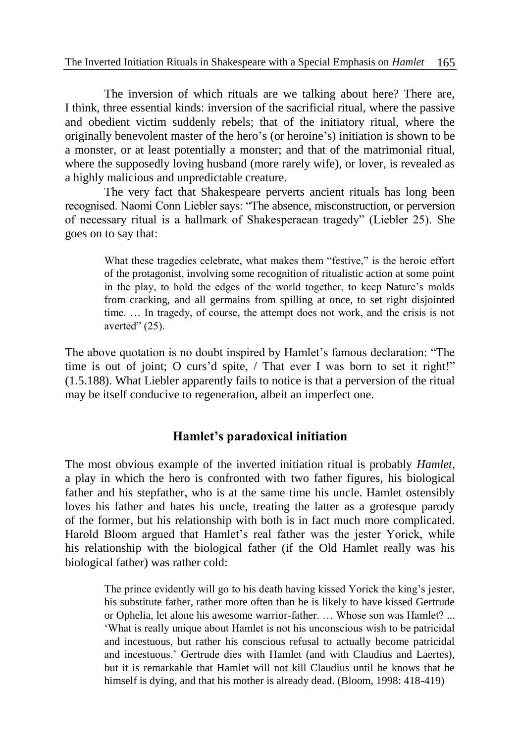The inversion of which rituals are we talking about here? There are, I think, three essential kinds: inversion of the sacrificial ritual, where the passive and obedient victim suddenly rebels; that of the initiatory ritual, where the originally benevolent master of the hero's (or heroine's) initiation is shown to be a monster, or at least potentially a monster; and that of the matrimonial ritual, where the supposedly loving husband (more rarely wife), or lover, is revealed as a highly malicious and unpredictable creature.

The very fact that Shakespeare perverts ancient rituals has long been recognised. Naomi Conn Liebler says: "The absence, misconstruction, or perversion of necessary ritual is a hallmark of Shakesperaean tragedy" (Liebler 25). She goes on to say that:

> What these tragedies celebrate, what makes them "festive," is the heroic effort of the protagonist, involving some recognition of ritualistic action at some point in the play, to hold the edges of the world together, to keep Nature's molds from cracking, and all germains from spilling at once, to set right disjointed time. … In tragedy, of course, the attempt does not work, and the crisis is not averted" (25).

The above quotation is no doubt inspired by Hamlet's famous declaration: "The time is out of joint; O curs'd spite, / That ever I was born to set it right!" (1.5.188). What Liebler apparently fails to notice is that a perversion of the ritual may be itself conducive to regeneration, albeit an imperfect one.

## **Hamlet's paradoxical initiation**

The most obvious example of the inverted initiation ritual is probably *Hamlet*, a play in which the hero is confronted with two father figures, his biological father and his stepfather, who is at the same time his uncle. Hamlet ostensibly loves his father and hates his uncle, treating the latter as a grotesque parody of the former, but his relationship with both is in fact much more complicated. Harold Bloom argued that Hamlet's real father was the jester Yorick, while his relationship with the biological father (if the Old Hamlet really was his biological father) was rather cold:

> The prince evidently will go to his death having kissed Yorick the king's jester, his substitute father, rather more often than he is likely to have kissed Gertrude or Ophelia, let alone his awesome warrior-father. … Whose son was Hamlet? ... 'What is really unique about Hamlet is not his unconscious wish to be patricidal and incestuous, but rather his conscious refusal to actually become patricidal and incestuous.' Gertrude dies with Hamlet (and with Claudius and Laertes), but it is remarkable that Hamlet will not kill Claudius until he knows that he himself is dying, and that his mother is already dead. (Bloom, 1998: 418-419)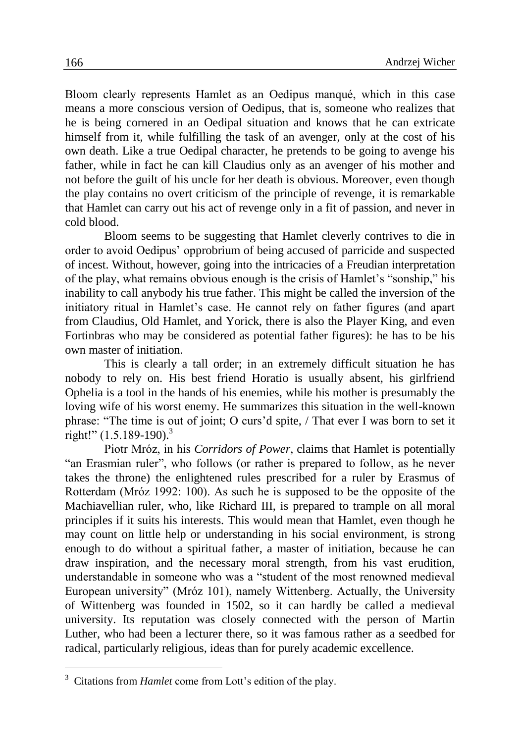Bloom clearly represents Hamlet as an Oedipus manqué, which in this case means a more conscious version of Oedipus, that is, someone who realizes that he is being cornered in an Oedipal situation and knows that he can extricate himself from it, while fulfilling the task of an avenger, only at the cost of his own death. Like a true Oedipal character, he pretends to be going to avenge his father, while in fact he can kill Claudius only as an avenger of his mother and not before the guilt of his uncle for her death is obvious. Moreover, even though the play contains no overt criticism of the principle of revenge, it is remarkable that Hamlet can carry out his act of revenge only in a fit of passion, and never in cold blood.

Bloom seems to be suggesting that Hamlet cleverly contrives to die in order to avoid Oedipus' opprobrium of being accused of parricide and suspected of incest. Without, however, going into the intricacies of a Freudian interpretation of the play, what remains obvious enough is the crisis of Hamlet's "sonship," his inability to call anybody his true father. This might be called the inversion of the initiatory ritual in Hamlet's case. He cannot rely on father figures (and apart from Claudius, Old Hamlet, and Yorick, there is also the Player King, and even Fortinbras who may be considered as potential father figures): he has to be his own master of initiation.

This is clearly a tall order; in an extremely difficult situation he has nobody to rely on. His best friend Horatio is usually absent, his girlfriend Ophelia is a tool in the hands of his enemies, while his mother is presumably the loving wife of his worst enemy. He summarizes this situation in the well-known phrase: "The time is out of joint; O curs'd spite, / That ever I was born to set it right!" (1.5.189-190). 3

Piotr Mróz, in his *Corridors of Power*, claims that Hamlet is potentially "an Erasmian ruler", who follows (or rather is prepared to follow, as he never takes the throne) the enlightened rules prescribed for a ruler by Erasmus of Rotterdam (Mróz 1992: 100). As such he is supposed to be the opposite of the Machiavellian ruler, who, like Richard III, is prepared to trample on all moral principles if it suits his interests. This would mean that Hamlet, even though he may count on little help or understanding in his social environment, is strong enough to do without a spiritual father, a master of initiation, because he can draw inspiration, and the necessary moral strength, from his vast erudition, understandable in someone who was a "student of the most renowned medieval European university" (Mróz 101), namely Wittenberg. Actually, the University of Wittenberg was founded in 1502, so it can hardly be called a medieval university. Its reputation was closely connected with the person of Martin Luther, who had been a lecturer there, so it was famous rather as a seedbed for radical, particularly religious, ideas than for purely academic excellence.

<sup>&</sup>lt;sup>3</sup> Citations from *Hamlet* come from Lott's edition of the play.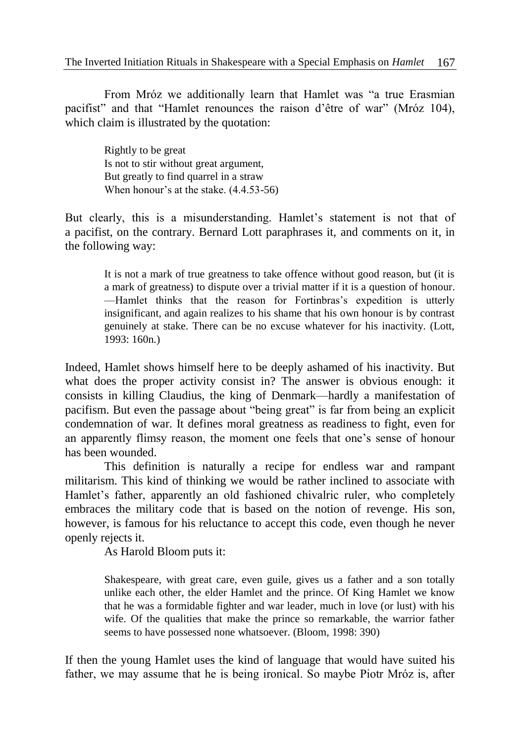From Mróz we additionally learn that Hamlet was "a true Erasmian pacifist" and that "Hamlet renounces the raison d'être of war" (Mróz 104), which claim is illustrated by the quotation:

Rightly to be great Is not to stir without great argument, But greatly to find quarrel in a straw When honour's at the stake. (4.4.53-56)

But clearly, this is a misunderstanding. Hamlet's statement is not that of a pacifist, on the contrary. Bernard Lott paraphrases it, and comments on it, in the following way:

It is not a mark of true greatness to take offence without good reason, but (it is a mark of greatness) to dispute over a trivial matter if it is a question of honour. —Hamlet thinks that the reason for Fortinbras's expedition is utterly insignificant, and again realizes to his shame that his own honour is by contrast genuinely at stake. There can be no excuse whatever for his inactivity. (Lott, 1993: 160n.)

Indeed, Hamlet shows himself here to be deeply ashamed of his inactivity. But what does the proper activity consist in? The answer is obvious enough: it consists in killing Claudius, the king of Denmark—hardly a manifestation of pacifism. But even the passage about "being great" is far from being an explicit condemnation of war. It defines moral greatness as readiness to fight, even for an apparently flimsy reason, the moment one feels that one's sense of honour has been wounded.

This definition is naturally a recipe for endless war and rampant militarism. This kind of thinking we would be rather inclined to associate with Hamlet's father, apparently an old fashioned chivalric ruler, who completely embraces the military code that is based on the notion of revenge. His son, however, is famous for his reluctance to accept this code, even though he never openly rejects it.

As Harold Bloom puts it:

Shakespeare, with great care, even guile, gives us a father and a son totally unlike each other, the elder Hamlet and the prince. Of King Hamlet we know that he was a formidable fighter and war leader, much in love (or lust) with his wife. Of the qualities that make the prince so remarkable, the warrior father seems to have possessed none whatsoever. (Bloom, 1998: 390)

If then the young Hamlet uses the kind of language that would have suited his father, we may assume that he is being ironical. So maybe Piotr Mróz is, after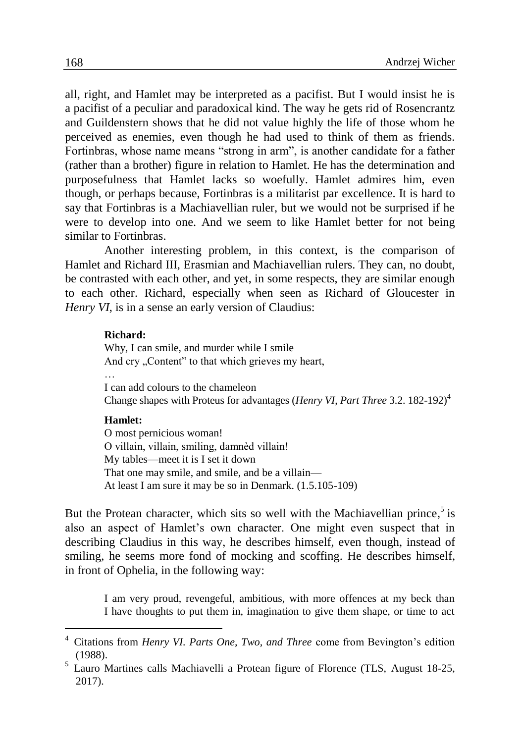all, right, and Hamlet may be interpreted as a pacifist. But I would insist he is a pacifist of a peculiar and paradoxical kind. The way he gets rid of Rosencrantz and Guildenstern shows that he did not value highly the life of those whom he perceived as enemies, even though he had used to think of them as friends. Fortinbras, whose name means "strong in arm", is another candidate for a father (rather than a brother) figure in relation to Hamlet. He has the determination and purposefulness that Hamlet lacks so woefully. Hamlet admires him, even though, or perhaps because, Fortinbras is a militarist par excellence. It is hard to say that Fortinbras is a Machiavellian ruler, but we would not be surprised if he were to develop into one. And we seem to like Hamlet better for not being similar to Fortinbras.

Another interesting problem, in this context, is the comparison of Hamlet and Richard III, Erasmian and Machiavellian rulers. They can, no doubt, be contrasted with each other, and yet, in some respects, they are similar enough to each other. Richard, especially when seen as Richard of Gloucester in *Henry VI*, is in a sense an early version of Claudius:

#### **Richard:**

Why, I can smile, and murder while I smile And cry "Content" to that which grieves my heart,

…

I can add colours to the chameleon Change shapes with Proteus for advantages (*Henry VI*, *Part Three* 3.2. 182-192)<sup>4</sup>

### **Hamlet:**

O most pernicious woman! O villain, villain, smiling, damnèd villain! My tables—meet it is I set it down That one may smile, and smile, and be a villain— At least I am sure it may be so in Denmark. (1.5.105-109)

But the Protean character, which sits so well with the Machiavellian prince, $5$  is also an aspect of Hamlet's own character. One might even suspect that in describing Claudius in this way, he describes himself, even though, instead of smiling, he seems more fond of mocking and scoffing. He describes himself, in front of Ophelia, in the following way:

I am very proud, revengeful, ambitious, with more offences at my beck than I have thoughts to put them in, imagination to give them shape, or time to act

<sup>4</sup> Citations from *Henry VI. Parts One, Two, and Three* come from Bevington's edition (1988).

<sup>&</sup>lt;sup>5</sup> Lauro Martines calls Machiavelli a Protean figure of Florence (TLS, August 18-25, 2017).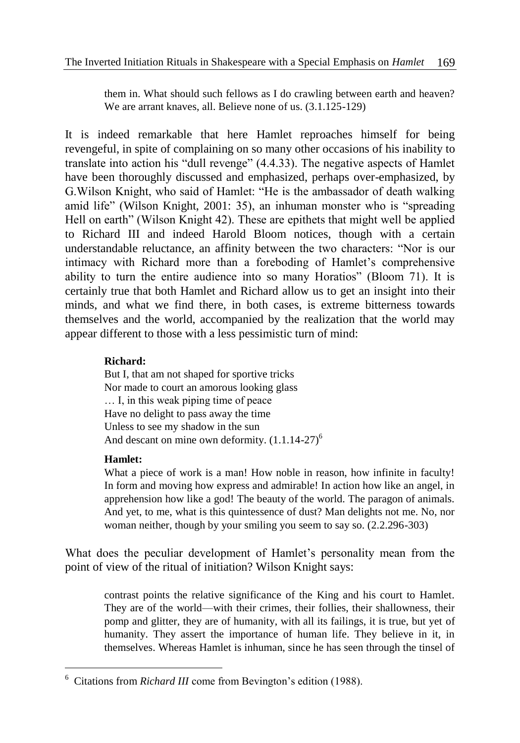them in. What should such fellows as I do crawling between earth and heaven? We are arrant knaves, all. Believe none of us. (3.1.125-129)

It is indeed remarkable that here Hamlet reproaches himself for being revengeful, in spite of complaining on so many other occasions of his inability to translate into action his "dull revenge" (4.4.33). The negative aspects of Hamlet have been thoroughly discussed and emphasized, perhaps over-emphasized, by G.Wilson Knight, who said of Hamlet: "He is the ambassador of death walking amid life" (Wilson Knight, 2001: 35), an inhuman monster who is "spreading Hell on earth" (Wilson Knight 42). These are epithets that might well be applied to Richard III and indeed Harold Bloom notices, though with a certain understandable reluctance, an affinity between the two characters: "Nor is our intimacy with Richard more than a foreboding of Hamlet's comprehensive ability to turn the entire audience into so many Horatios" (Bloom 71). It is certainly true that both Hamlet and Richard allow us to get an insight into their minds, and what we find there, in both cases, is extreme bitterness towards themselves and the world, accompanied by the realization that the world may appear different to those with a less pessimistic turn of mind:

## **Richard:**

But I, that am not shaped for sportive tricks Nor made to court an amorous looking glass … I, in this weak piping time of peace Have no delight to pass away the time Unless to see my shadow in the sun And descant on mine own deformity.  $(1.1.14-27)^6$ 

## **Hamlet:**

1

What a piece of work is a man! How noble in reason, how infinite in faculty! In form and moving how express and admirable! In action how like an angel, in apprehension how like a god! The beauty of the world. The paragon of animals. And yet, to me, what is this quintessence of dust? Man delights not me. No, nor woman neither, though by your smiling you seem to say so. (2.2.296-303)

What does the peculiar development of Hamlet's personality mean from the point of view of the ritual of initiation? Wilson Knight says:

contrast points the relative significance of the King and his court to Hamlet. They are of the world—with their crimes, their follies, their shallowness, their pomp and glitter, they are of humanity, with all its failings, it is true, but yet of humanity. They assert the importance of human life. They believe in it, in themselves. Whereas Hamlet is inhuman, since he has seen through the tinsel of

<sup>6</sup> Citations from *Richard III* come from Bevington's edition (1988).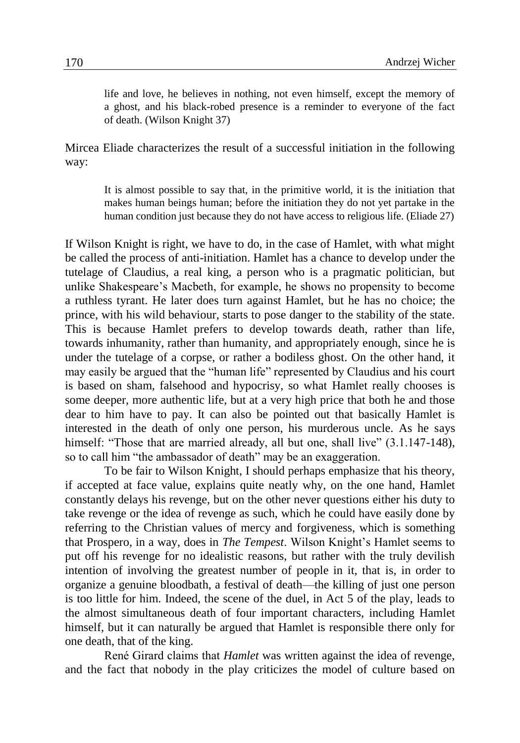life and love, he believes in nothing, not even himself, except the memory of a ghost, and his black-robed presence is a reminder to everyone of the fact of death. (Wilson Knight 37)

Mircea Eliade characterizes the result of a successful initiation in the following way:

> It is almost possible to say that, in the primitive world, it is the initiation that makes human beings human; before the initiation they do not yet partake in the human condition just because they do not have access to religious life. (Eliade 27)

If Wilson Knight is right, we have to do, in the case of Hamlet, with what might be called the process of anti-initiation. Hamlet has a chance to develop under the tutelage of Claudius, a real king, a person who is a pragmatic politician, but unlike Shakespeare's Macbeth, for example, he shows no propensity to become a ruthless tyrant. He later does turn against Hamlet, but he has no choice; the prince, with his wild behaviour, starts to pose danger to the stability of the state. This is because Hamlet prefers to develop towards death, rather than life, towards inhumanity, rather than humanity, and appropriately enough, since he is under the tutelage of a corpse, or rather a bodiless ghost. On the other hand, it may easily be argued that the "human life" represented by Claudius and his court is based on sham, falsehood and hypocrisy, so what Hamlet really chooses is some deeper, more authentic life, but at a very high price that both he and those dear to him have to pay. It can also be pointed out that basically Hamlet is interested in the death of only one person, his murderous uncle. As he says himself: "Those that are married already, all but one, shall live" (3.1.147-148), so to call him "the ambassador of death" may be an exaggeration.

To be fair to Wilson Knight, I should perhaps emphasize that his theory, if accepted at face value, explains quite neatly why, on the one hand, Hamlet constantly delays his revenge, but on the other never questions either his duty to take revenge or the idea of revenge as such, which he could have easily done by referring to the Christian values of mercy and forgiveness, which is something that Prospero, in a way, does in *The Tempest*. Wilson Knight's Hamlet seems to put off his revenge for no idealistic reasons, but rather with the truly devilish intention of involving the greatest number of people in it, that is, in order to organize a genuine bloodbath, a festival of death—the killing of just one person is too little for him. Indeed, the scene of the duel, in Act 5 of the play, leads to the almost simultaneous death of four important characters, including Hamlet himself, but it can naturally be argued that Hamlet is responsible there only for one death, that of the king.

René Girard claims that *Hamlet* was written against the idea of revenge, and the fact that nobody in the play criticizes the model of culture based on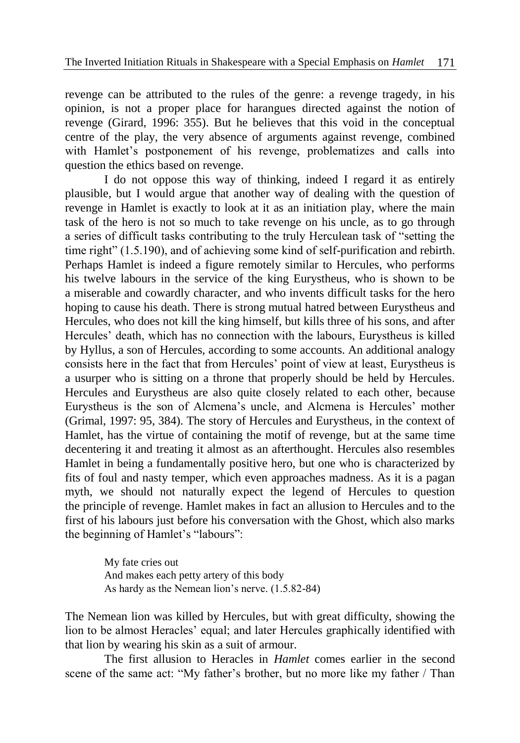revenge can be attributed to the rules of the genre: a revenge tragedy, in his opinion, is not a proper place for harangues directed against the notion of revenge (Girard, 1996: 355). But he believes that this void in the conceptual centre of the play, the very absence of arguments against revenge, combined with Hamlet's postponement of his revenge, problematizes and calls into question the ethics based on revenge.

I do not oppose this way of thinking, indeed I regard it as entirely plausible, but I would argue that another way of dealing with the question of revenge in Hamlet is exactly to look at it as an initiation play, where the main task of the hero is not so much to take revenge on his uncle, as to go through a series of difficult tasks contributing to the truly Herculean task of "setting the time right" (1.5.190), and of achieving some kind of self-purification and rebirth. Perhaps Hamlet is indeed a figure remotely similar to Hercules, who performs his twelve labours in the service of the king Eurystheus, who is shown to be a miserable and cowardly character, and who invents difficult tasks for the hero hoping to cause his death. There is strong mutual hatred between Eurystheus and Hercules, who does not kill the king himself, but kills three of his sons, and after Hercules' death, which has no connection with the labours, Eurystheus is killed by Hyllus, a son of Hercules, according to some accounts. An additional analogy consists here in the fact that from Hercules' point of view at least, Eurystheus is a usurper who is sitting on a throne that properly should be held by Hercules. Hercules and Eurystheus are also quite closely related to each other, because Eurystheus is the son of Alcmena's uncle, and Alcmena is Hercules' mother (Grimal, 1997: 95, 384). The story of Hercules and Eurystheus, in the context of Hamlet, has the virtue of containing the motif of revenge, but at the same time decentering it and treating it almost as an afterthought. Hercules also resembles Hamlet in being a fundamentally positive hero, but one who is characterized by fits of foul and nasty temper, which even approaches madness. As it is a pagan myth, we should not naturally expect the legend of Hercules to question the principle of revenge. Hamlet makes in fact an allusion to Hercules and to the first of his labours just before his conversation with the Ghost, which also marks the beginning of Hamlet's "labours":

> My fate cries out And makes each petty artery of this body As hardy as the Nemean lion's nerve. (1.5.82-84)

The Nemean lion was killed by Hercules, but with great difficulty, showing the lion to be almost Heracles' equal; and later Hercules graphically identified with that lion by wearing his skin as a suit of armour.

The first allusion to Heracles in *Hamlet* comes earlier in the second scene of the same act: "My father's brother, but no more like my father / Than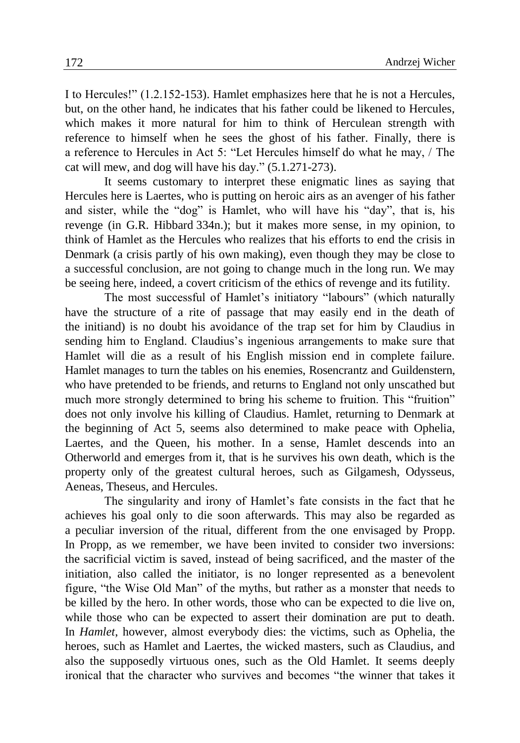I to Hercules!" (1.2.152-153). Hamlet emphasizes here that he is not a Hercules, but, on the other hand, he indicates that his father could be likened to Hercules, which makes it more natural for him to think of Herculean strength with reference to himself when he sees the ghost of his father. Finally, there is a reference to Hercules in Act 5: "Let Hercules himself do what he may, / The cat will mew, and dog will have his day." (5.1.271-273).

It seems customary to interpret these enigmatic lines as saying that Hercules here is Laertes, who is putting on heroic airs as an avenger of his father and sister, while the "dog" is Hamlet, who will have his "day", that is, his revenge (in G.R. Hibbard 334n.); but it makes more sense, in my opinion, to think of Hamlet as the Hercules who realizes that his efforts to end the crisis in Denmark (a crisis partly of his own making), even though they may be close to a successful conclusion, are not going to change much in the long run. We may be seeing here, indeed, a covert criticism of the ethics of revenge and its futility.

The most successful of Hamlet's initiatory "labours" (which naturally have the structure of a rite of passage that may easily end in the death of the initiand) is no doubt his avoidance of the trap set for him by Claudius in sending him to England. Claudius's ingenious arrangements to make sure that Hamlet will die as a result of his English mission end in complete failure. Hamlet manages to turn the tables on his enemies, Rosencrantz and Guildenstern, who have pretended to be friends, and returns to England not only unscathed but much more strongly determined to bring his scheme to fruition. This "fruition" does not only involve his killing of Claudius. Hamlet, returning to Denmark at the beginning of Act 5, seems also determined to make peace with Ophelia, Laertes, and the Queen, his mother. In a sense, Hamlet descends into an Otherworld and emerges from it, that is he survives his own death, which is the property only of the greatest cultural heroes, such as Gilgamesh, Odysseus, Aeneas, Theseus, and Hercules.

The singularity and irony of Hamlet's fate consists in the fact that he achieves his goal only to die soon afterwards. This may also be regarded as a peculiar inversion of the ritual, different from the one envisaged by Propp. In Propp, as we remember, we have been invited to consider two inversions: the sacrificial victim is saved, instead of being sacrificed, and the master of the initiation, also called the initiator, is no longer represented as a benevolent figure, "the Wise Old Man" of the myths, but rather as a monster that needs to be killed by the hero. In other words, those who can be expected to die live on, while those who can be expected to assert their domination are put to death. In *Hamlet*, however, almost everybody dies: the victims, such as Ophelia, the heroes, such as Hamlet and Laertes, the wicked masters, such as Claudius, and also the supposedly virtuous ones, such as the Old Hamlet. It seems deeply ironical that the character who survives and becomes "the winner that takes it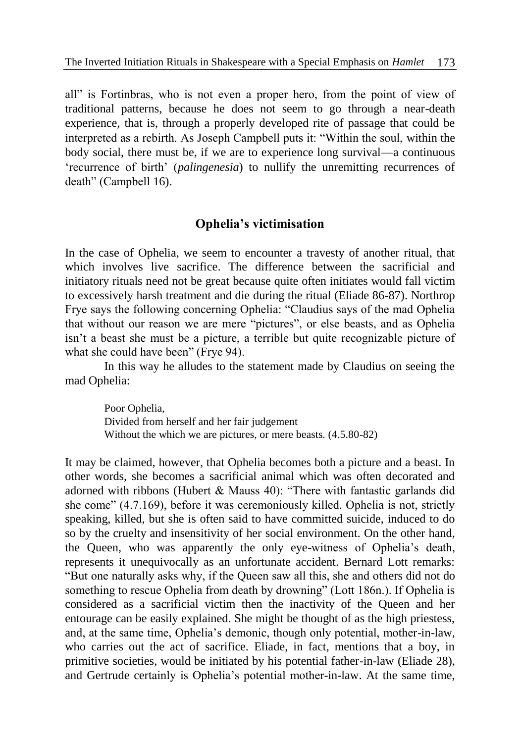all" is Fortinbras, who is not even a proper hero, from the point of view of traditional patterns, because he does not seem to go through a near-death experience, that is, through a properly developed rite of passage that could be interpreted as a rebirth. As Joseph Campbell puts it: "Within the soul, within the body social, there must be, if we are to experience long survival—a continuous 'recurrence of birth' (*palingenesia*) to nullify the unremitting recurrences of death" (Campbell 16).

# **Ophelia's victimisation**

In the case of Ophelia, we seem to encounter a travesty of another ritual, that which involves live sacrifice. The difference between the sacrificial and initiatory rituals need not be great because quite often initiates would fall victim to excessively harsh treatment and die during the ritual (Eliade 86-87). Northrop Frye says the following concerning Ophelia: "Claudius says of the mad Ophelia that without our reason we are mere "pictures", or else beasts, and as Ophelia isn't a beast she must be a picture, a terrible but quite recognizable picture of what she could have been" (Frye 94).

In this way he alludes to the statement made by Claudius on seeing the mad Ophelia:

Poor Ophelia, Divided from herself and her fair judgement Without the which we are pictures, or mere beasts. (4.5.80-82)

It may be claimed, however, that Ophelia becomes both a picture and a beast. In other words, she becomes a sacrificial animal which was often decorated and adorned with ribbons (Hubert & Mauss 40): "There with fantastic garlands did she come" (4.7.169), before it was ceremoniously killed. Ophelia is not, strictly speaking, killed, but she is often said to have committed suicide, induced to do so by the cruelty and insensitivity of her social environment. On the other hand, the Queen, who was apparently the only eye-witness of Ophelia's death, represents it unequivocally as an unfortunate accident. Bernard Lott remarks: "But one naturally asks why, if the Queen saw all this, she and others did not do something to rescue Ophelia from death by drowning" (Lott 186n.). If Ophelia is considered as a sacrificial victim then the inactivity of the Queen and her entourage can be easily explained. She might be thought of as the high priestess, and, at the same time, Ophelia's demonic, though only potential, mother-in-law, who carries out the act of sacrifice. Eliade, in fact, mentions that a boy, in primitive societies, would be initiated by his potential father-in-law (Eliade 28), and Gertrude certainly is Ophelia's potential mother-in-law. At the same time,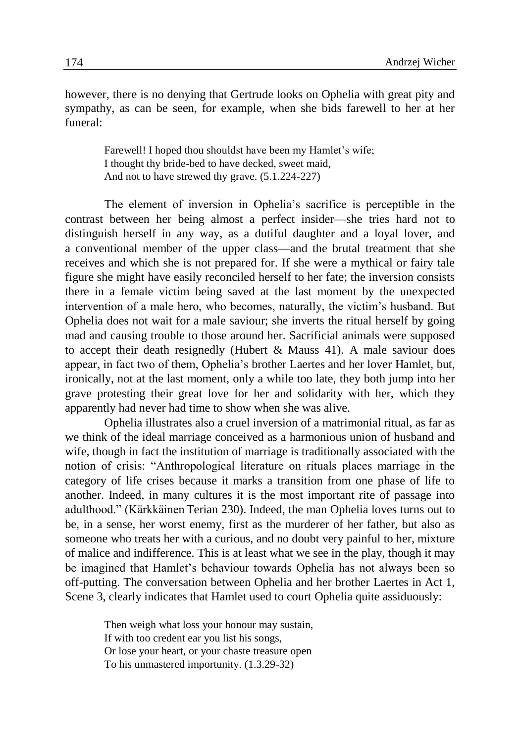however, there is no denying that Gertrude looks on Ophelia with great pity and sympathy, as can be seen, for example, when she bids farewell to her at her funeral:

> Farewell! I hoped thou shouldst have been my Hamlet's wife; I thought thy bride-bed to have decked, sweet maid, And not to have strewed thy grave. (5.1.224-227)

The element of inversion in Ophelia's sacrifice is perceptible in the contrast between her being almost a perfect insider—she tries hard not to distinguish herself in any way, as a dutiful daughter and a loyal lover, and a conventional member of the upper class—and the brutal treatment that she receives and which she is not prepared for. If she were a mythical or fairy tale figure she might have easily reconciled herself to her fate; the inversion consists there in a female victim being saved at the last moment by the unexpected intervention of a male hero, who becomes, naturally, the victim's husband. But Ophelia does not wait for a male saviour; she inverts the ritual herself by going mad and causing trouble to those around her. Sacrificial animals were supposed to accept their death resignedly (Hubert & Mauss 41). A male saviour does appear, in fact two of them, Ophelia's brother Laertes and her lover Hamlet, but, ironically, not at the last moment, only a while too late, they both jump into her grave protesting their great love for her and solidarity with her, which they apparently had never had time to show when she was alive.

Ophelia illustrates also a cruel inversion of a matrimonial ritual, as far as we think of the ideal marriage conceived as a harmonious union of husband and wife, though in fact the institution of marriage is traditionally associated with the notion of crisis: "Anthropological literature on rituals places marriage in the category of life crises because it marks a transition from one phase of life to another. Indeed, in many cultures it is the most important rite of passage into adulthood." (Kärkkäinen Terian 230). Indeed, the man Ophelia loves turns out to be, in a sense, her worst enemy, first as the murderer of her father, but also as someone who treats her with a curious, and no doubt very painful to her, mixture of malice and indifference. This is at least what we see in the play, though it may be imagined that Hamlet's behaviour towards Ophelia has not always been so off-putting. The conversation between Ophelia and her brother Laertes in Act 1, Scene 3, clearly indicates that Hamlet used to court Ophelia quite assiduously:

> Then weigh what loss your honour may sustain, If with too credent ear you list his songs, Or lose your heart, or your chaste treasure open To his unmastered importunity. (1.3.29-32)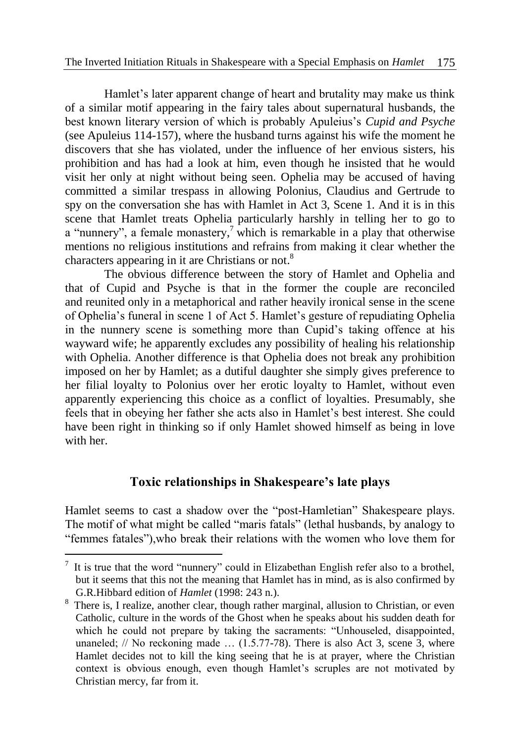Hamlet's later apparent change of heart and brutality may make us think of a similar motif appearing in the fairy tales about supernatural husbands, the best known literary version of which is probably Apuleius's *Cupid and Psyche* (see Apuleius 114-157), where the husband turns against his wife the moment he discovers that she has violated, under the influence of her envious sisters, his prohibition and has had a look at him, even though he insisted that he would visit her only at night without being seen. Ophelia may be accused of having committed a similar trespass in allowing Polonius, Claudius and Gertrude to spy on the conversation she has with Hamlet in Act 3, Scene 1. And it is in this scene that Hamlet treats Ophelia particularly harshly in telling her to go to a "nunnery", a female monastery, $\frac{7}{1}$  which is remarkable in a play that otherwise mentions no religious institutions and refrains from making it clear whether the characters appearing in it are Christians or not.<sup>8</sup>

The obvious difference between the story of Hamlet and Ophelia and that of Cupid and Psyche is that in the former the couple are reconciled and reunited only in a metaphorical and rather heavily ironical sense in the scene of Ophelia's funeral in scene 1 of Act 5. Hamlet's gesture of repudiating Ophelia in the nunnery scene is something more than Cupid's taking offence at his wayward wife; he apparently excludes any possibility of healing his relationship with Ophelia. Another difference is that Ophelia does not break any prohibition imposed on her by Hamlet; as a dutiful daughter she simply gives preference to her filial loyalty to Polonius over her erotic loyalty to Hamlet, without even apparently experiencing this choice as a conflict of loyalties. Presumably, she feels that in obeying her father she acts also in Hamlet's best interest. She could have been right in thinking so if only Hamlet showed himself as being in love with her

# **Toxic relationships in Shakespeare's late plays**

Hamlet seems to cast a shadow over the "post-Hamletian" Shakespeare plays. The motif of what might be called "maris fatals" (lethal husbands, by analogy to "femmes fatales"),who break their relations with the women who love them for

<u>.</u>

 $<sup>7</sup>$  It is true that the word "nunnery" could in Elizabethan English refer also to a brothel,</sup> but it seems that this not the meaning that Hamlet has in mind, as is also confirmed by G.R.Hibbard edition of *Hamlet* (1998: 243 n.).

<sup>&</sup>lt;sup>8</sup> There is, I realize, another clear, though rather marginal, allusion to Christian, or even Catholic, culture in the words of the Ghost when he speaks about his sudden death for which he could not prepare by taking the sacraments: "Unhouseled, disappointed, unaneled;  $//$  No reckoning made  $...(1.5.77-78)$ . There is also Act 3, scene 3, where Hamlet decides not to kill the king seeing that he is at prayer, where the Christian context is obvious enough, even though Hamlet's scruples are not motivated by Christian mercy, far from it.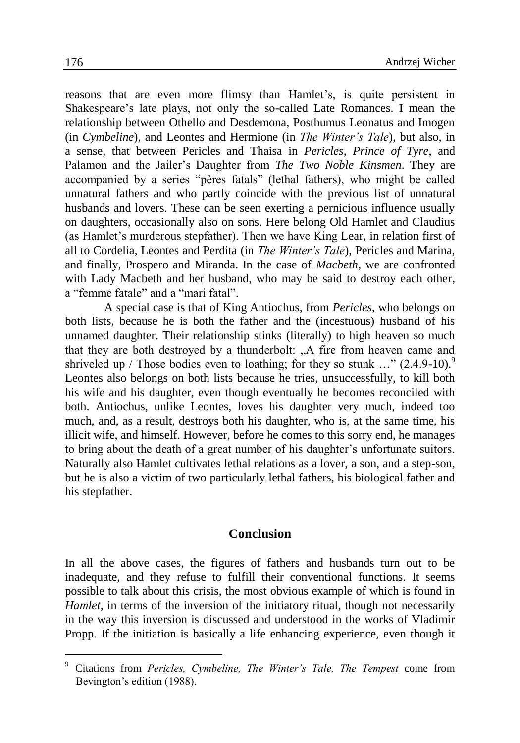reasons that are even more flimsy than Hamlet's, is quite persistent in Shakespeare's late plays, not only the so-called Late Romances. I mean the relationship between Othello and Desdemona, Posthumus Leonatus and Imogen (in *Cymbeline*), and Leontes and Hermione (in *The Winter's Tale*), but also, in a sense, that between Pericles and Thaisa in *Pericles, Prince of Tyre*, and Palamon and the Jailer's Daughter from *The Two Noble Kinsmen*. They are accompanied by a series "pères fatals" (lethal fathers), who might be called unnatural fathers and who partly coincide with the previous list of unnatural husbands and lovers. These can be seen exerting a pernicious influence usually on daughters, occasionally also on sons. Here belong Old Hamlet and Claudius (as Hamlet's murderous stepfather). Then we have King Lear, in relation first of all to Cordelia, Leontes and Perdita (in *The Winter's Tale*), Pericles and Marina, and finally, Prospero and Miranda. In the case of *Macbeth*, we are confronted with Lady Macbeth and her husband, who may be said to destroy each other, a "femme fatale" and a "mari fatal".

A special case is that of King Antiochus, from *Pericles*, who belongs on both lists, because he is both the father and the (incestuous) husband of his unnamed daughter. Their relationship stinks (literally) to high heaven so much that they are both destroyed by a thunderbolt: "A fire from heaven came and shriveled up / Those bodies even to loathing; for they so stunk ..."  $(2.4.9-10).$ <sup>9</sup> Leontes also belongs on both lists because he tries, unsuccessfully, to kill both his wife and his daughter, even though eventually he becomes reconciled with both. Antiochus, unlike Leontes, loves his daughter very much, indeed too much, and, as a result, destroys both his daughter, who is, at the same time, his illicit wife, and himself. However, before he comes to this sorry end, he manages to bring about the death of a great number of his daughter's unfortunate suitors. Naturally also Hamlet cultivates lethal relations as a lover, a son, and a step-son, but he is also a victim of two particularly lethal fathers, his biological father and his stepfather.

## **Conclusion**

In all the above cases, the figures of fathers and husbands turn out to be inadequate, and they refuse to fulfill their conventional functions. It seems possible to talk about this crisis, the most obvious example of which is found in *Hamlet*, in terms of the inversion of the initiatory ritual, though not necessarily in the way this inversion is discussed and understood in the works of Vladimir Propp. If the initiation is basically a life enhancing experience, even though it

<sup>9</sup> Citations from *Pericles, Cymbeline, The Winter's Tale, The Tempest* come from Bevington's edition (1988).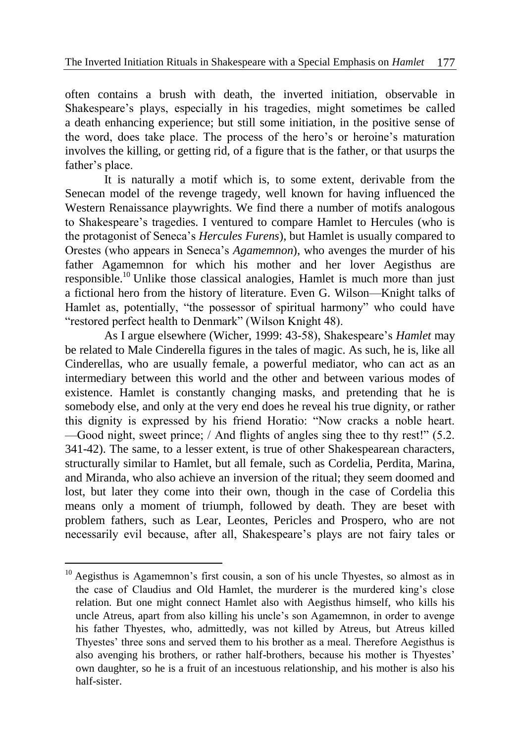often contains a brush with death, the inverted initiation, observable in Shakespeare's plays, especially in his tragedies, might sometimes be called a death enhancing experience; but still some initiation, in the positive sense of the word, does take place. The process of the hero's or heroine's maturation involves the killing, or getting rid, of a figure that is the father, or that usurps the father's place.

It is naturally a motif which is, to some extent, derivable from the Senecan model of the revenge tragedy, well known for having influenced the Western Renaissance playwrights. We find there a number of motifs analogous to Shakespeare's tragedies. I ventured to compare Hamlet to Hercules (who is the protagonist of Seneca's *Hercules Furens*), but Hamlet is usually compared to Orestes (who appears in Seneca's *Agamemnon*), who avenges the murder of his father Agamemnon for which his mother and her lover Aegisthus are responsible.<sup>10</sup> Unlike those classical analogies, Hamlet is much more than just a fictional hero from the history of literature. Even G. Wilson—Knight talks of Hamlet as, potentially, "the possessor of spiritual harmony" who could have "restored perfect health to Denmark" (Wilson Knight 48).

As I argue elsewhere (Wicher, 1999: 43-58), Shakespeare's *Hamlet* may be related to Male Cinderella figures in the tales of magic. As such, he is, like all Cinderellas, who are usually female, a powerful mediator, who can act as an intermediary between this world and the other and between various modes of existence. Hamlet is constantly changing masks, and pretending that he is somebody else, and only at the very end does he reveal his true dignity, or rather this dignity is expressed by his friend Horatio: "Now cracks a noble heart. —Good night, sweet prince; / And flights of angles sing thee to thy rest!" (5.2. 341-42). The same, to a lesser extent, is true of other Shakespearean characters, structurally similar to Hamlet, but all female, such as Cordelia, Perdita, Marina, and Miranda, who also achieve an inversion of the ritual; they seem doomed and lost, but later they come into their own, though in the case of Cordelia this means only a moment of triumph, followed by death. They are beset with problem fathers, such as Lear, Leontes, Pericles and Prospero, who are not necessarily evil because, after all, Shakespeare's plays are not fairy tales or

<sup>&</sup>lt;sup>10</sup> Aegisthus is Agamemnon's first cousin, a son of his uncle Thyestes, so almost as in the case of Claudius and Old Hamlet, the murderer is the murdered king's close relation. But one might connect Hamlet also with Aegisthus himself, who kills his uncle Atreus, apart from also killing his uncle's son Agamemnon, in order to avenge his father Thyestes, who, admittedly, was not killed by Atreus, but Atreus killed Thyestes' three sons and served them to his brother as a meal. Therefore Aegisthus is also avenging his brothers, or rather half-brothers, because his mother is Thyestes' own daughter, so he is a fruit of an incestuous relationship, and his mother is also his half-sister.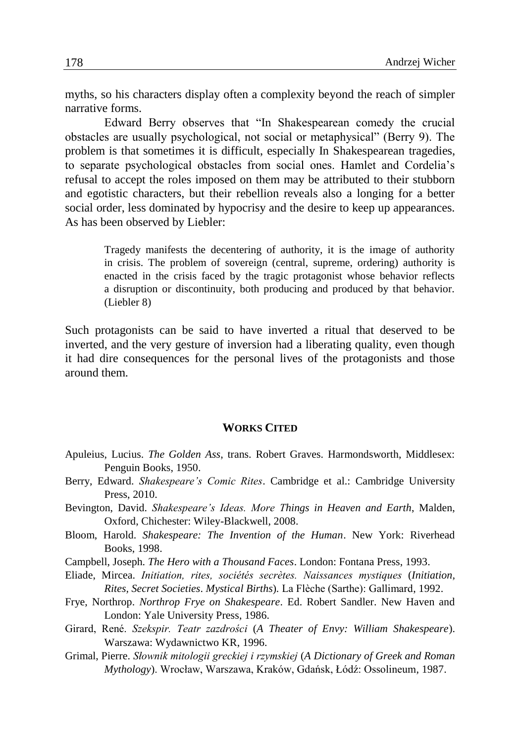myths, so his characters display often a complexity beyond the reach of simpler narrative forms.

Edward Berry observes that "In Shakespearean comedy the crucial obstacles are usually psychological, not social or metaphysical" (Berry 9). The problem is that sometimes it is difficult, especially In Shakespearean tragedies, to separate psychological obstacles from social ones. Hamlet and Cordelia's refusal to accept the roles imposed on them may be attributed to their stubborn and egotistic characters, but their rebellion reveals also a longing for a better social order, less dominated by hypocrisy and the desire to keep up appearances. As has been observed by Liebler:

> Tragedy manifests the decentering of authority, it is the image of authority in crisis. The problem of sovereign (central, supreme, ordering) authority is enacted in the crisis faced by the tragic protagonist whose behavior reflects a disruption or discontinuity, both producing and produced by that behavior. (Liebler 8)

Such protagonists can be said to have inverted a ritual that deserved to be inverted, and the very gesture of inversion had a liberating quality, even though it had dire consequences for the personal lives of the protagonists and those around them.

### **WORKS CITED**

- Apuleius, Lucius. *The Golden Ass*, trans. Robert Graves. Harmondsworth, Middlesex: Penguin Books, 1950.
- Berry, Edward. *Shakespeare's Comic Rites*. Cambridge et al.: Cambridge University Press, 2010.
- Bevington, David. *Shakespeare's Ideas. More Things in Heaven and Earth*, Malden, Oxford, Chichester: Wiley-Blackwell, 2008.
- Bloom, Harold. *Shakespeare: The Invention of the Human*. New York: Riverhead Books, 1998.
- Campbell, Joseph. *The Hero with a Thousand Faces*. London: Fontana Press, 1993.
- Eliade, Mircea. *Initiation, rites, sociétés secrètes. Naissances mystiques* (*Initiation, Rites, Secret Societies*. *Mystical Births*)*.* La Flèche (Sarthe): Gallimard, 1992.
- Frye, Northrop. *Northrop Frye on Shakespeare*. Ed. Robert Sandler. New Haven and London: Yale University Press, 1986.
- Girard, René. *Szekspir. Teatr zazdrości* (*A Theater of Envy: William Shakespeare*). Warszawa: Wydawnictwo KR, 1996.
- Grimal, Pierre. *Słownik mitologii greckiej i rzymskiej* (*A Dictionary of Greek and Roman Mythology*). Wrocław, Warszawa, Kraków, Gdańsk, Łódź: Ossolineum, 1987.